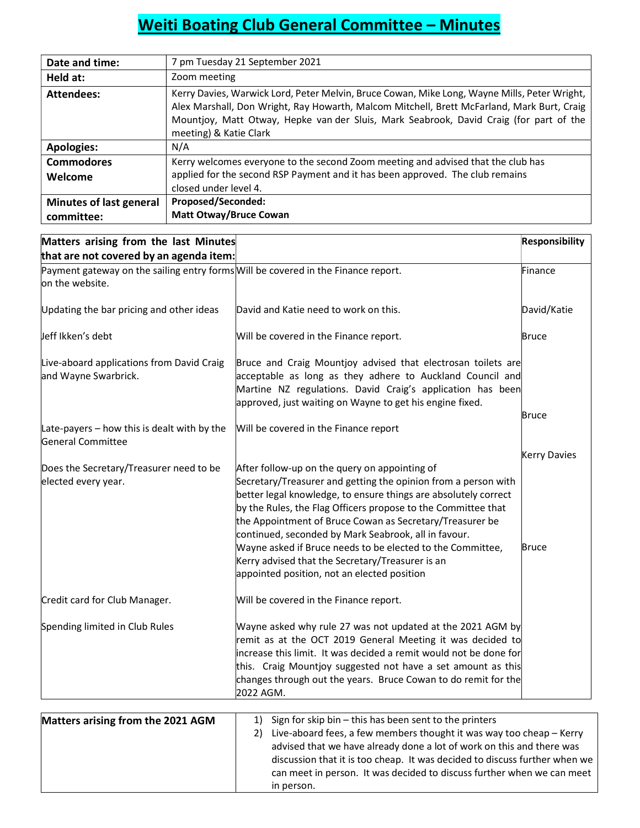## Weiti Boating Club General Committee – Minutes

| Date and time:          | 7 pm Tuesday 21 September 2021                                                                                                                                                                                                                                                                                 |
|-------------------------|----------------------------------------------------------------------------------------------------------------------------------------------------------------------------------------------------------------------------------------------------------------------------------------------------------------|
| Held at:                | Zoom meeting                                                                                                                                                                                                                                                                                                   |
| Attendees:              | Kerry Davies, Warwick Lord, Peter Melvin, Bruce Cowan, Mike Long, Wayne Mills, Peter Wright,<br>Alex Marshall, Don Wright, Ray Howarth, Malcom Mitchell, Brett McFarland, Mark Burt, Craig<br>Mountjoy, Matt Otway, Hepke van der Sluis, Mark Seabrook, David Craig (for part of the<br>meeting) & Katie Clark |
| <b>Apologies:</b>       | N/A                                                                                                                                                                                                                                                                                                            |
| <b>Commodores</b>       | Kerry welcomes everyone to the second Zoom meeting and advised that the club has                                                                                                                                                                                                                               |
| Welcome                 | applied for the second RSP Payment and it has been approved. The club remains                                                                                                                                                                                                                                  |
|                         | closed under level 4.                                                                                                                                                                                                                                                                                          |
| Minutes of last general | Proposed/Seconded:                                                                                                                                                                                                                                                                                             |
| committee:              | <b>Matt Otway/Bruce Cowan</b>                                                                                                                                                                                                                                                                                  |

| Matters arising from the last Minutes                                                                |                                                                                                                                                                                                                                                                                                                                                                                                                                                                                           | <b>Responsibility</b> |
|------------------------------------------------------------------------------------------------------|-------------------------------------------------------------------------------------------------------------------------------------------------------------------------------------------------------------------------------------------------------------------------------------------------------------------------------------------------------------------------------------------------------------------------------------------------------------------------------------------|-----------------------|
| that are not covered by an agenda item:                                                              |                                                                                                                                                                                                                                                                                                                                                                                                                                                                                           |                       |
| Payment gateway on the sailing entry forms Will be covered in the Finance report.<br>on the website. |                                                                                                                                                                                                                                                                                                                                                                                                                                                                                           | Finance               |
| Updating the bar pricing and other ideas                                                             | David and Katie need to work on this.                                                                                                                                                                                                                                                                                                                                                                                                                                                     | David/Katie           |
| Jeff Ikken's debt                                                                                    | Will be covered in the Finance report.                                                                                                                                                                                                                                                                                                                                                                                                                                                    | <b>Bruce</b>          |
| Live-aboard applications from David Craig<br>and Wayne Swarbrick.                                    | Bruce and Craig Mountjoy advised that electrosan toilets are<br>acceptable as long as they adhere to Auckland Council and<br>Martine NZ regulations. David Craig's application has been<br>approved, just waiting on Wayne to get his engine fixed.                                                                                                                                                                                                                                       |                       |
| Late-payers $-$ how this is dealt with by the<br><b>General Committee</b>                            | Will be covered in the Finance report                                                                                                                                                                                                                                                                                                                                                                                                                                                     | Bruce                 |
|                                                                                                      |                                                                                                                                                                                                                                                                                                                                                                                                                                                                                           | <b>Kerry Davies</b>   |
| Does the Secretary/Treasurer need to be<br>elected every year.                                       | After follow-up on the query on appointing of<br>Secretary/Treasurer and getting the opinion from a person with<br>better legal knowledge, to ensure things are absolutely correct<br>by the Rules, the Flag Officers propose to the Committee that<br>the Appointment of Bruce Cowan as Secretary/Treasurer be<br>continued, seconded by Mark Seabrook, all in favour.<br>Wayne asked if Bruce needs to be elected to the Committee,<br>Kerry advised that the Secretary/Treasurer is an | <b>Bruce</b>          |
|                                                                                                      | appointed position, not an elected position                                                                                                                                                                                                                                                                                                                                                                                                                                               |                       |
| Credit card for Club Manager.                                                                        | Will be covered in the Finance report.                                                                                                                                                                                                                                                                                                                                                                                                                                                    |                       |
| Spending limited in Club Rules                                                                       | Wayne asked why rule 27 was not updated at the 2021 AGM by<br>remit as at the OCT 2019 General Meeting it was decided to<br>increase this limit. It was decided a remit would not be done for<br>this. Craig Mountjoy suggested not have a set amount as this<br>changes through out the years. Bruce Cowan to do remit for the<br>2022 AGM.                                                                                                                                              |                       |
|                                                                                                      |                                                                                                                                                                                                                                                                                                                                                                                                                                                                                           |                       |
| Matters arising from the 2021 AGM                                                                    | 1) Sign for skip bin - this has been sent to the printers                                                                                                                                                                                                                                                                                                                                                                                                                                 |                       |
|                                                                                                      | $\mathbf{D} = \mathbf{1}$ . The contracted from a fact the contracted that $\mathbf{A}$ is the contracted of the contracted from                                                                                                                                                                                                                                                                                                                                                          |                       |

| IVIALLEIS AIISIIIR IIUIII LIIE ZUZT AUIVI | $\perp$ , big into the construction of the prince is                       |
|-------------------------------------------|----------------------------------------------------------------------------|
|                                           | 2) Live-aboard fees, a few members thought it was way too cheap - Kerry    |
|                                           | advised that we have already done a lot of work on this and there was      |
|                                           | discussion that it is too cheap. It was decided to discuss further when we |
|                                           | can meet in person. It was decided to discuss further when we can meet     |
|                                           | in person.                                                                 |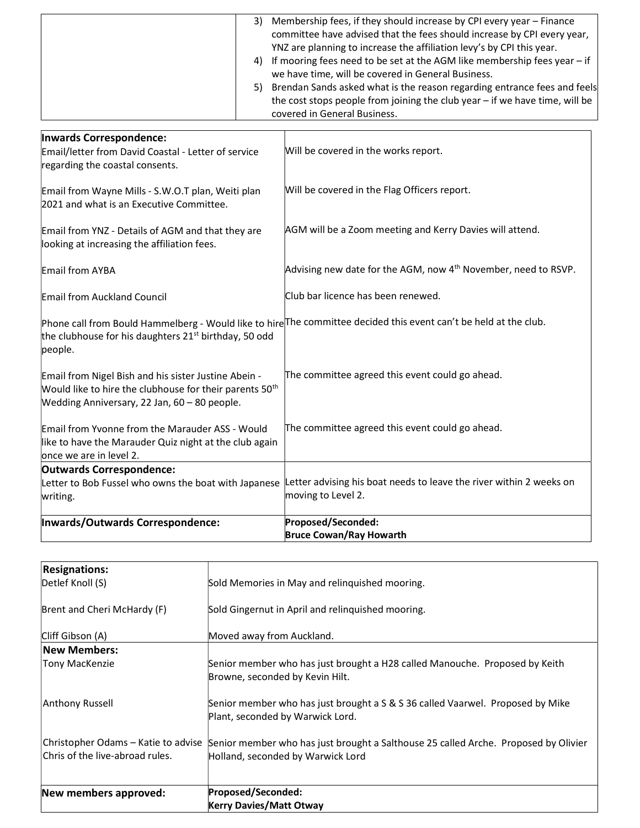|                                                                                                                                                                             | 3)<br>5) | Membership fees, if they should increase by CPI every year - Finance<br>committee have advised that the fees should increase by CPI every year,<br>YNZ are planning to increase the affiliation levy's by CPI this year.<br>4) If mooring fees need to be set at the AGM like membership fees year - if<br>we have time, will be covered in General Business.<br>Brendan Sands asked what is the reason regarding entrance fees and feels<br>the cost stops people from joining the club year $-$ if we have time, will be<br>covered in General Business. |
|-----------------------------------------------------------------------------------------------------------------------------------------------------------------------------|----------|------------------------------------------------------------------------------------------------------------------------------------------------------------------------------------------------------------------------------------------------------------------------------------------------------------------------------------------------------------------------------------------------------------------------------------------------------------------------------------------------------------------------------------------------------------|
|                                                                                                                                                                             |          |                                                                                                                                                                                                                                                                                                                                                                                                                                                                                                                                                            |
| Inwards Correspondence:<br>Email/letter from David Coastal - Letter of service<br>regarding the coastal consents.                                                           |          | Will be covered in the works report.                                                                                                                                                                                                                                                                                                                                                                                                                                                                                                                       |
| Email from Wayne Mills - S.W.O.T plan, Weiti plan<br>2021 and what is an Executive Committee.                                                                               |          | Will be covered in the Flag Officers report.                                                                                                                                                                                                                                                                                                                                                                                                                                                                                                               |
| Email from YNZ - Details of AGM and that they are<br>looking at increasing the affiliation fees.                                                                            |          | AGM will be a Zoom meeting and Kerry Davies will attend.                                                                                                                                                                                                                                                                                                                                                                                                                                                                                                   |
| Email from AYBA                                                                                                                                                             |          | Advising new date for the AGM, now 4 <sup>th</sup> November, need to RSVP.                                                                                                                                                                                                                                                                                                                                                                                                                                                                                 |
| Email from Auckland Council                                                                                                                                                 |          | Club bar licence has been renewed.                                                                                                                                                                                                                                                                                                                                                                                                                                                                                                                         |
| the clubhouse for his daughters 21 <sup>st</sup> birthday, 50 odd<br>people.                                                                                                |          | Phone call from Bould Hammelberg - Would like to hire <sup>The</sup> committee decided this event can't be held at the club.                                                                                                                                                                                                                                                                                                                                                                                                                               |
| Email from Nigel Bish and his sister Justine Abein -<br>Would like to hire the clubhouse for their parents 50 <sup>th</sup><br>Wedding Anniversary, 22 Jan, 60 - 80 people. |          | The committee agreed this event could go ahead.                                                                                                                                                                                                                                                                                                                                                                                                                                                                                                            |
| Email from Yvonne from the Marauder ASS - Would<br>like to have the Marauder Quiz night at the club again<br>once we are in level 2.                                        |          | The committee agreed this event could go ahead.                                                                                                                                                                                                                                                                                                                                                                                                                                                                                                            |
| <b>Outwards Correspondence:</b>                                                                                                                                             |          |                                                                                                                                                                                                                                                                                                                                                                                                                                                                                                                                                            |
| Letter to Bob Fussel who owns the boat with Japanese<br>writing.                                                                                                            |          | Letter advising his boat needs to leave the river within 2 weeks on<br>moving to Level 2.                                                                                                                                                                                                                                                                                                                                                                                                                                                                  |
| Inwards/Outwards Correspondence:                                                                                                                                            |          | Proposed/Seconded:                                                                                                                                                                                                                                                                                                                                                                                                                                                                                                                                         |
|                                                                                                                                                                             |          | <b>Bruce Cowan/Ray Howarth</b>                                                                                                                                                                                                                                                                                                                                                                                                                                                                                                                             |

| <b>Resignations:</b>                |                                                                                                                    |
|-------------------------------------|--------------------------------------------------------------------------------------------------------------------|
| Detlef Knoll (S)                    | Sold Memories in May and relinguished mooring.                                                                     |
| Brent and Cheri McHardy (F)         | Sold Gingernut in April and relinguished mooring.                                                                  |
| Cliff Gibson (A)                    | Moved away from Auckland.                                                                                          |
| <b>New Members:</b>                 |                                                                                                                    |
| <b>Tony MacKenzie</b>               | Senior member who has just brought a H28 called Manouche. Proposed by Keith<br>Browne, seconded by Kevin Hilt.     |
| Anthony Russell                     | Senior member who has just brought a S & S 36 called Vaarwel. Proposed by Mike<br>Plant, seconded by Warwick Lord. |
| Christopher Odams – Katie to advise | Senior member who has just brought a Salthouse 25 called Arche. Proposed by Olivier                                |
| Chris of the live-abroad rules.     | Holland, seconded by Warwick Lord                                                                                  |
|                                     |                                                                                                                    |
| New members approved:               | Proposed/Seconded:                                                                                                 |
|                                     | <b>Kerry Davies/Matt Otway</b>                                                                                     |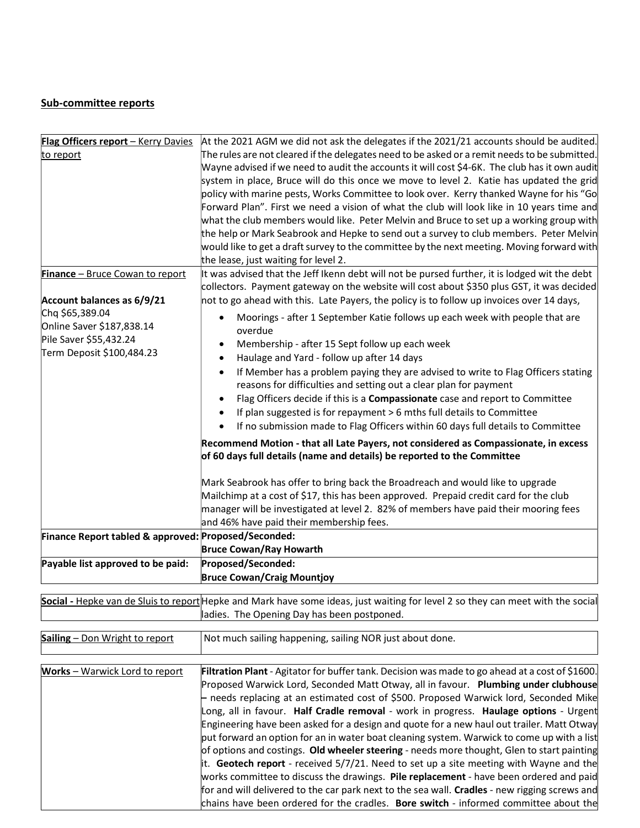## Sub-committee reports

| Flag Officers report - Kerry Davies                  | At the 2021 AGM we did not ask the delegates if the 2021/21 accounts should be audited.                                         |
|------------------------------------------------------|---------------------------------------------------------------------------------------------------------------------------------|
| to report                                            | The rules are not cleared if the delegates need to be asked or a remit needs to be submitted.                                   |
|                                                      | Wayne advised if we need to audit the accounts it will cost \$4-6K. The club has it own audit                                   |
|                                                      | system in place, Bruce will do this once we move to level 2. Katie has updated the grid                                         |
|                                                      | policy with marine pests, Works Committee to look over. Kerry thanked Wayne for his "Go                                         |
|                                                      | Forward Plan". First we need a vision of what the club will look like in 10 years time and                                      |
|                                                      | what the club members would like. Peter Melvin and Bruce to set up a working group with                                         |
|                                                      | the help or Mark Seabrook and Hepke to send out a survey to club members. Peter Melvin                                          |
|                                                      | would like to get a draft survey to the committee by the next meeting. Moving forward with                                      |
|                                                      | the lease, just waiting for level 2.                                                                                            |
| Finance - Bruce Cowan to report                      | It was advised that the Jeff Ikenn debt will not be pursed further, it is lodged wit the debt                                   |
|                                                      | collectors. Payment gateway on the website will cost about \$350 plus GST, it was decided                                       |
| Account balances as 6/9/21                           |                                                                                                                                 |
|                                                      | not to go ahead with this. Late Payers, the policy is to follow up invoices over 14 days,                                       |
| Chq \$65,389.04                                      | Moorings - after 1 September Katie follows up each week with people that are                                                    |
| Online Saver \$187,838.14                            | overdue                                                                                                                         |
| Pile Saver \$55,432.24                               | Membership - after 15 Sept follow up each week                                                                                  |
| Term Deposit \$100,484.23                            | Haulage and Yard - follow up after 14 days<br>٠                                                                                 |
|                                                      | If Member has a problem paying they are advised to write to Flag Officers stating<br>٠                                          |
|                                                      | reasons for difficulties and setting out a clear plan for payment                                                               |
|                                                      | Flag Officers decide if this is a Compassionate case and report to Committee                                                    |
|                                                      | If plan suggested is for repayment > 6 mths full details to Committee<br>$\bullet$                                              |
|                                                      | If no submission made to Flag Officers within 60 days full details to Committee<br>٠                                            |
|                                                      |                                                                                                                                 |
|                                                      | Recommend Motion - that all Late Payers, not considered as Compassionate, in excess                                             |
|                                                      | of 60 days full details (name and details) be reported to the Committee                                                         |
|                                                      |                                                                                                                                 |
|                                                      | Mark Seabrook has offer to bring back the Broadreach and would like to upgrade                                                  |
|                                                      | Mailchimp at a cost of \$17, this has been approved. Prepaid credit card for the club                                           |
|                                                      | manager will be investigated at level 2. 82% of members have paid their mooring fees                                            |
|                                                      | and 46% have paid their membership fees.                                                                                        |
| Finance Report tabled & approved: Proposed/Seconded: |                                                                                                                                 |
|                                                      | <b>Bruce Cowan/Ray Howarth</b>                                                                                                  |
| Payable list approved to be paid:                    | Proposed/Seconded:                                                                                                              |
|                                                      | <b>Bruce Cowan/Craig Mountjoy</b>                                                                                               |
|                                                      |                                                                                                                                 |
|                                                      | Social - Hepke van de Sluis to report Hepke and Mark have some ideas, just waiting for level 2 so they can meet with the social |
|                                                      | ladies. The Opening Day has been postponed.                                                                                     |
| Sailing - Don Wright to report                       | Not much sailing happening, sailing NOR just about done.                                                                        |
|                                                      |                                                                                                                                 |
|                                                      |                                                                                                                                 |
| Works - Warwick Lord to report                       | Filtration Plant - Agitator for buffer tank. Decision was made to go ahead at a cost of \$1600.                                 |
|                                                      | Proposed Warwick Lord, Seconded Matt Otway, all in favour. Plumbing under clubhouse                                             |
|                                                      | - needs replacing at an estimated cost of \$500. Proposed Warwick lord, Seconded Mike                                           |
|                                                      | Long, all in favour. Half Cradle removal - work in progress. Haulage options - Urgent                                           |
|                                                      | Engineering have been asked for a design and quote for a new haul out trailer. Matt Otway                                       |
|                                                      | put forward an option for an in water boat cleaning system. Warwick to come up with a list                                      |
|                                                      | of options and costings. Old wheeler steering - needs more thought, Glen to start painting                                      |
|                                                      | it. Geotech report - received $5/7/21$ . Need to set up a site meeting with Wayne and the                                       |
|                                                      | works committee to discuss the drawings. Pile replacement - have been ordered and paid                                          |
|                                                      | for and will delivered to the car park next to the sea wall. Cradles - new rigging screws and                                   |
|                                                      | chains have been ordered for the cradles. Bore switch - informed committee about the                                            |